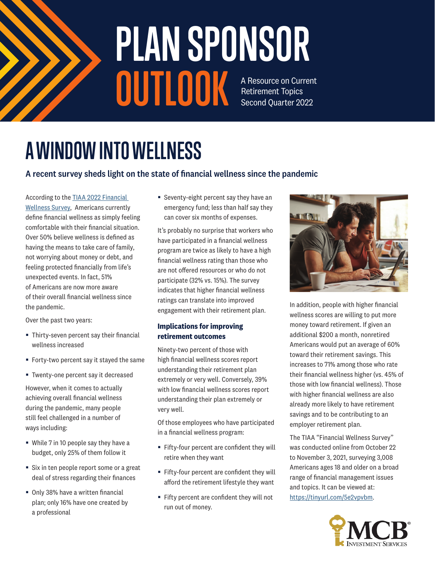

### A Resource on Current Retirement Topics Second Quarter 2022 **PLAN SPONSOR OUTLOOK**

# **A WINDOW INTO WELLNESS**

#### A recent survey sheds light on the state of financial wellness since the pandemic

According to the TIAA 2022 Financial

Wellness Survey, Americans currently define financial wellness as simply feeling comfortable with their financial situation. Over 50% believe wellness is defined as having the means to take care of family, not worrying about money or debt, and feeling protected financially from life's unexpected events. In fact, 51% of Americans are now more aware of their overall financial wellness since the pandemic.

Over the past two years:

- Thirty-seven percent say their financial wellness increased
- Forty-two percent say it stayed the same
- Twenty-one percent say it decreased

However, when it comes to actually achieving overall financial wellness during the pandemic, many people still feel challenged in a number of ways including:

- While 7 in 10 people say they have a budget, only 25% of them follow it
- Six in ten people report some or a great deal of stress regarding their finances
- Only 38% have a written financial plan; only 16% have one created by a professional

■ Seventy-eight percent say they have an emergency fund; less than half say they can cover six months of expenses.

It's probably no surprise that workers who have participated in a financial wellness program are twice as likely to have a high financial wellness rating than those who are not offered resources or who do not participate (32% vs. 15%). The survey indicates that higher financial wellness ratings can translate into improved engagement with their retirement plan.

#### **Implications for improving retirement outcomes**

Ninety-two percent of those with high financial wellness scores report understanding their retirement plan extremely or very well. Conversely, 39% with low financial wellness scores report understanding their plan extremely or very well.

Of those employees who have participated in a financial wellness program:

- Fifty-four percent are confident they will retire when they want
- Fifty-four percent are confident they will afford the retirement lifestyle they want
- Fifty percent are confident they will not run out of money.



In addition, people with higher financial wellness scores are willing to put more money toward retirement. If given an additional \$200 a month, nonretired Americans would put an average of 60% toward their retirement savings. This increases to 71% among those who rate their financial wellness higher (vs. 45% of those with low financial wellness). Those with higher financial wellness are also already more likely to have retirement savings and to be contributing to an employer retirement plan.

The TIAA "Financial Wellness Survey" was conducted online from October 22 to November 3, 2021, surveying 3,008 Americans ages 18 and older on a broad range of financial management issues and topics. It can be viewed at: https://tinyurl.com/5e2vpvbm.

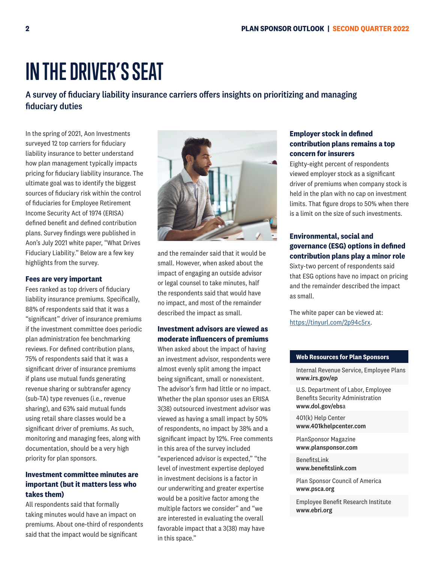## **IN THE DRIVER'S SEAT**

#### A survey of fiduciary liability insurance carriers offers insights on prioritizing and managing fiduciary duties

In the spring of 2021, Aon Investments surveyed 12 top carriers for fiduciary liability insurance to better understand how plan management typically impacts pricing for fiduciary liability insurance. The ultimate goal was to identify the biggest sources of fiduciary risk within the control of fiduciaries for Employee Retirement Income Security Act of 1974 (ERISA) defined benefit and defined contribution plans. Survey findings were published in Aon's July 2021 white paper, "What Drives Fiduciary Liability." Below are a few key highlights from the survey.

#### **Fees are very important**

Fees ranked as top drivers of fiduciary liability insurance premiums. Specifically, 88% of respondents said that it was a "significant" driver of insurance premiums if the investment committee does periodic plan administration fee benchmarking reviews. For defined contribution plans, 75% of respondents said that it was a significant driver of insurance premiums if plans use mutual funds generating revenue sharing or subtransfer agency (sub-TA) type revenues (i.e., revenue sharing), and 63% said mutual funds using retail share classes would be a significant driver of premiums. As such, monitoring and managing fees, along with documentation, should be a very high priority for plan sponsors.

#### **Investment committee minutes are important (but it matters less who takes them)**

All respondents said that formally taking minutes would have an impact on premiums. About one-third of respondents said that the impact would be significant



and the remainder said that it would be small. However, when asked about the impact of engaging an outside advisor or legal counsel to take minutes, half the respondents said that would have no impact, and most of the remainder described the impact as small.

#### **Investment advisors are viewed as moderate influencers of premiums**

When asked about the impact of having an investment advisor, respondents were almost evenly split among the impact being significant, small or nonexistent. The advisor's firm had little or no impact. Whether the plan sponsor uses an ERISA 3(38) outsourced investment advisor was viewed as having a small impact by 50% of respondents, no impact by 38% and a significant impact by 12%. Free comments in this area of the survey included "experienced advisor is expected," "the level of investment expertise deployed in investment decisions is a factor in our underwriting and greater expertise would be a positive factor among the multiple factors we consider" and "we are interested in evaluating the overall favorable impact that a 3(38) may have in this space."

#### **Employer stock in defined contribution plans remains a top concern for insurers**

Eighty-eight percent of respondents viewed employer stock as a significant driver of premiums when company stock is held in the plan with no cap on investment limits. That figure drops to 50% when there is a limit on the size of such investments.

#### **Environmental, social and governance (ESG) options in defined contribution plans play a minor role**

Sixty-two percent of respondents said that ESG options have no impact on pricing and the remainder described the impact as small.

The white paper can be viewed at: https://tinyurl.com/2p94c5rx.

#### **Web Resources for Plan Sponsors**

Internal Revenue Service, Employee Plans www.irs.gov/ep

U.S. Department of Labor, Employee Benefits Security Administration www.dol.gov/ebsa

401(k) Help Center www.401khelpcenter.com

PlanSponsor Magazine www.plansponsor.com

BenefitsLink www.benefitslink.com

Plan Sponsor Council of America www.psca.org

Employee Benefit Research Institute www.ebri.org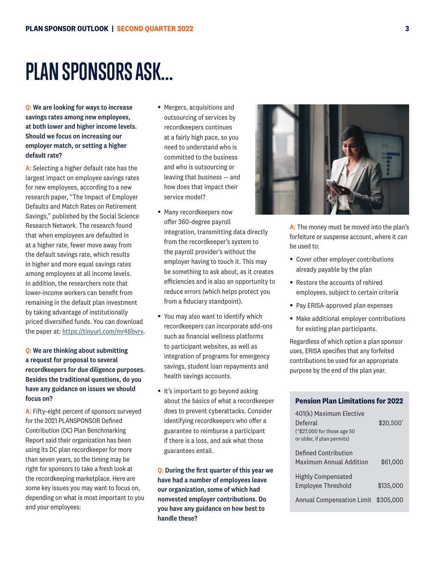### **PLAN SPONSORS ASK...**

Q: We are looking for ways to increase savings rates among new employees, at both lower and higher income levels. Should we focus on increasing our employer match, or setting a higher default rate?

A: Selecting a higher default rate has the largest impact on employee savings rates for new employees, according to a new research paper, "The Impact of Employer Defaults and Match Rates on Retirement Savings," published by the Social Science Research Network. The research found that when employees are defaulted in at a higher rate, fewer move away from the default savings rate, which results in higher and more equal savings rates among employees at all income levels. In addition, the researchers note that lower-income workers can benefit from remaining in the default plan investment by taking advantage of institutionally priced diversified funds. You can download the paper at: https://tinyurl.com/mr46bvrv.

#### Q: We are thinking about submitting a request for proposal to several recordkeepers for due diligence purposes. Besides the traditional questions, do you have any guidance on issues we should focus on?

A: Fifty-eight percent of sponsors surveyed for the 2021 PLANSPONSOR Defined Contribution (DC) Plan Benchmarking Report said their organization has been using its DC plan recordkeeper for more than seven years, so the timing may be right for sponsors to take a fresh look at the recordkeeping marketplace. Here are some key issues you may want to focus on, depending on what is most important to you and your employees:

- Mergers, acquisitions and outsourcing of services by recordkeepers continues at a fairly high pace, so you need to understand who is committed to the business and who is outsourcing or leaving that business — and how does that impact their service model?
- Many recordkeepers now offer 360-degree payroll integration, transmitting data directly from the recordkeeper's system to the payroll provider's without the employer having to touch it. This may be something to ask about, as it creates efficiencies and is also an opportunity to reduce errors (which helps protect you from a fiduciary standpoint).
- You may also want to identify which recordkeepers can incorporate add-ons such as financial wellness platforms to participant websites, as well as integration of programs for emergency savings, student loan repayments and health savings accounts.
- It's important to go beyond asking about the basics of what a recordkeeper does to prevent cyberattacks. Consider identifying recordkeepers who offer a guarantee to reimburse a participant if there is a loss, and ask what those guarantees entail.

Q: During the first quarter of this year we have had a number of employees leave our organization, some of which had nonvested employer contributions. Do you have any guidance on how best to handle these?

A: The money must be moved into the plan's forfeiture or suspense account, where it can be used to:

- Cover other employer contributions already payable by the plan
- Restore the accounts of rehired employees, subject to certain criteria
- Pay ERISA-approved plan expenses
- Make additional employer contributions for existing plan participants.

Regardless of which option a plan sponsor uses, ERISA specifies that any forfeited contributions be used for an appropriate purpose by the end of the plan year.

#### **Pension Plan Limitations for 2022**

| 401(k) Maximum Elective          |           |
|----------------------------------|-----------|
| Deferral                         | \$20,500  |
| (*\$27,000 for those age 50)     |           |
| or older, if plan permits)       |           |
| Defined Contribution             |           |
| Maximum Annual Addition          | \$61,000  |
|                                  |           |
| Highly Compensated               |           |
| <b>Employee Threshold</b>        | \$135,000 |
| <b>Annual Compensation Limit</b> | \$305,000 |
|                                  |           |